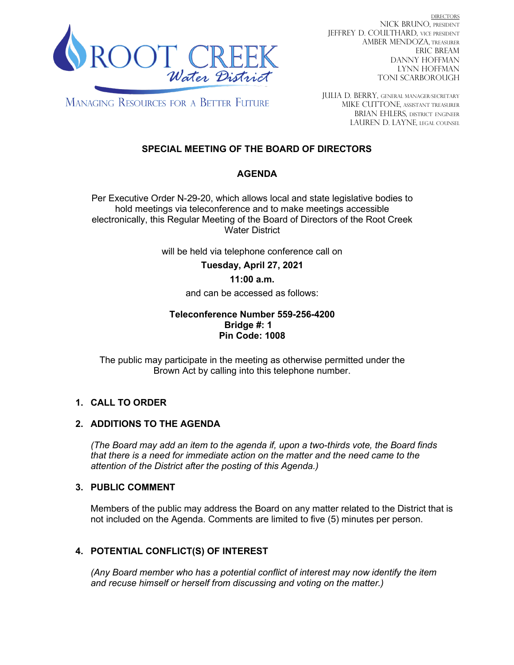

DIRECTORS NICK BRUNO, PRESIDENT JEFFREY D. COULTHARD, Vice President AMBER MENDOZA, TREASURER ERIC BREAM DANNY HOFFMAN LYNN HOFFMAN TONI SCARBOROUGH

**MANAGING RESOURCES FOR A BETTER FUTURE** 

JULIA D. BERRY, GENERAL MANAGER/secretary MIKE CUTTONE, Assistant treasurer BRIAN EHLERS, DISTRICT ENGINEER LAUREN D. LAYNE, LEGAL COUNSEL

## **SPECIAL MEETING OF THE BOARD OF DIRECTORS**

## **AGENDA**

Per Executive Order N-29-20, which allows local and state legislative bodies to hold meetings via teleconference and to make meetings accessible electronically, this Regular Meeting of the Board of Directors of the Root Creek Water District

will be held via telephone conference call on

**Tuesday, April 27, 2021**

#### **11:00 a.m.**

and can be accessed as follows:

#### **Teleconference Number 559-256-4200 Bridge #: 1 Pin Code: 1008**

The public may participate in the meeting as otherwise permitted under the Brown Act by calling into this telephone number.

#### **1. CALL TO ORDER**

#### **2. ADDITIONS TO THE AGENDA**

*(The Board may add an item to the agenda if, upon a two-thirds vote, the Board finds that there is a need for immediate action on the matter and the need came to the attention of the District after the posting of this Agenda.)*

#### **3. PUBLIC COMMENT**

Members of the public may address the Board on any matter related to the District that is not included on the Agenda. Comments are limited to five (5) minutes per person.

### **4. POTENTIAL CONFLICT(S) OF INTEREST**

*(Any Board member who has a potential conflict of interest may now identify the item and recuse himself or herself from discussing and voting on the matter.)*